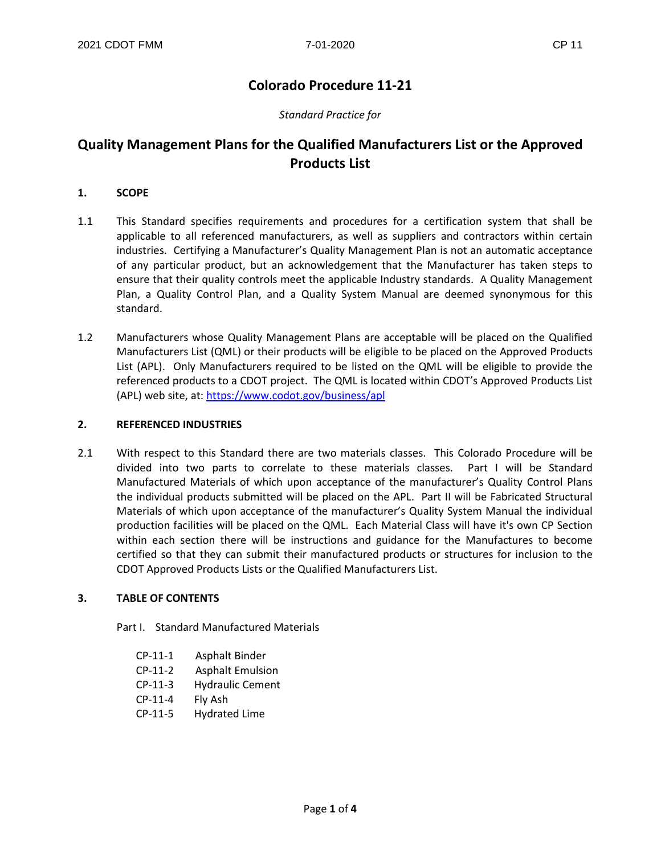# **Colorado Procedure 11-21**

## *Standard Practice for*

# **Quality Management Plans for the Qualified Manufacturers List or the Approved Products List**

#### **1. SCOPE**

- 1.1 This Standard specifies requirements and procedures for a certification system that shall be applicable to all referenced manufacturers, as well as suppliers and contractors within certain industries. Certifying a Manufacturer's Quality Management Plan is not an automatic acceptance of any particular product, but an acknowledgement that the Manufacturer has taken steps to ensure that their quality controls meet the applicable Industry standards. A Quality Management Plan, a Quality Control Plan, and a Quality System Manual are deemed synonymous for this standard.
- 1.2 Manufacturers whose Quality Management Plans are acceptable will be placed on the Qualified Manufacturers List (QML) or their products will be eligible to be placed on the Approved Products List (APL). Only Manufacturers required to be listed on the QML will be eligible to provide the referenced products to a CDOT project. The QML is located within CDOT's Approved Products List (APL) web site, at: <https://www.codot.gov/business/apl>

#### **2. REFERENCED INDUSTRIES**

2.1 With respect to this Standard there are two materials classes. This Colorado Procedure will be divided into two parts to correlate to these materials classes. Part I will be Standard Manufactured Materials of which upon acceptance of the manufacturer's Quality Control Plans the individual products submitted will be placed on the APL. Part II will be Fabricated Structural Materials of which upon acceptance of the manufacturer's Quality System Manual the individual production facilities will be placed on the QML. Each Material Class will have it's own CP Section within each section there will be instructions and guidance for the Manufactures to become certified so that they can submit their manufactured products or structures for inclusion to the CDOT Approved Products Lists or the Qualified Manufacturers List.

#### **3. TABLE OF CONTENTS**

Part I. Standard Manufactured Materials

- CP-11-1 Asphalt Binder
- CP-11-2 Asphalt Emulsion
- CP-11-3 Hydraulic Cement
- CP-11-4 Fly Ash
- CP-11-5 Hydrated Lime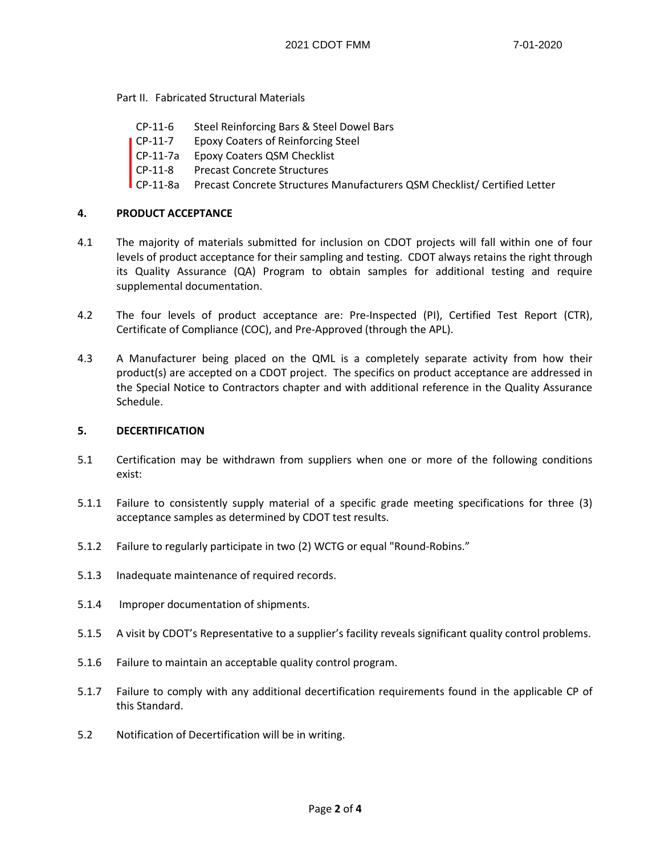Part II. Fabricated Structural Materials

- CP-11-6 Steel Reinforcing Bars & Steel Dowel Bars
- CP-11-7 Epoxy Coaters of Reinforcing Steel
- CP-11-7a Epoxy Coaters QSM Checklist
- CP-11-8 Precast Concrete Structures
- CP-11-8a Precast Concrete Structures Manufacturers QSM Checklist/ Certified Letter

## **4. PRODUCT ACCEPTANCE**

- 4.1 The majority of materials submitted for inclusion on CDOT projects will fall within one of four levels of product acceptance for their sampling and testing. CDOT always retains the right through its Quality Assurance (QA) Program to obtain samples for additional testing and require supplemental documentation.
- 4.2 The four levels of product acceptance are: Pre-Inspected (PI), Certified Test Report (CTR), Certificate of Compliance (COC), and Pre-Approved (through the APL).
- 4.3 A Manufacturer being placed on the QML is a completely separate activity from how their product(s) are accepted on a CDOT project. The specifics on product acceptance are addressed in the Special Notice to Contractors chapter and with additional reference in the Quality Assurance Schedule.

### **5. DECERTIFICATION**

- 5.1 Certification may be withdrawn from suppliers when one or more of the following conditions exist:
- 5.1.1 Failure to consistently supply material of a specific grade meeting specifications for three (3) acceptance samples as determined by CDOT test results.
- 5.1.2 Failure to regularly participate in two (2) WCTG or equal "Round-Robins."
- 5.1.3 Inadequate maintenance of required records.
- 5.1.4 Improper documentation of shipments.
- 5.1.5 A visit by CDOT's Representative to a supplier's facility reveals significant quality control problems.
- 5.1.6 Failure to maintain an acceptable quality control program.
- 5.1.7 Failure to comply with any additional decertification requirements found in the applicable CP of this Standard.
- 5.2 Notification of Decertification will be in writing.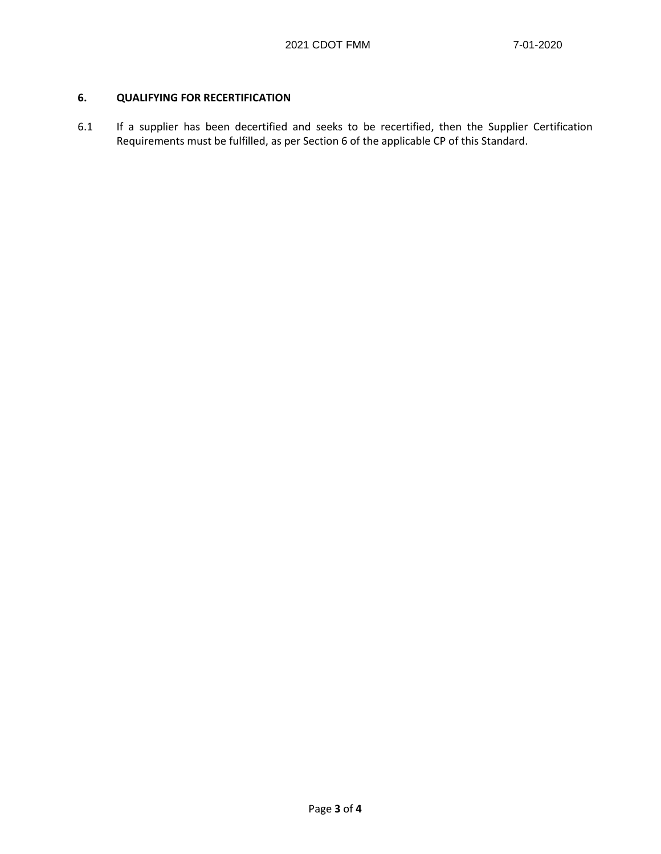# **6. QUALIFYING FOR RECERTIFICATION**

6.1 If a supplier has been decertified and seeks to be recertified, then the Supplier Certification Requirements must be fulfilled, as per Section 6 of the applicable CP of this Standard.